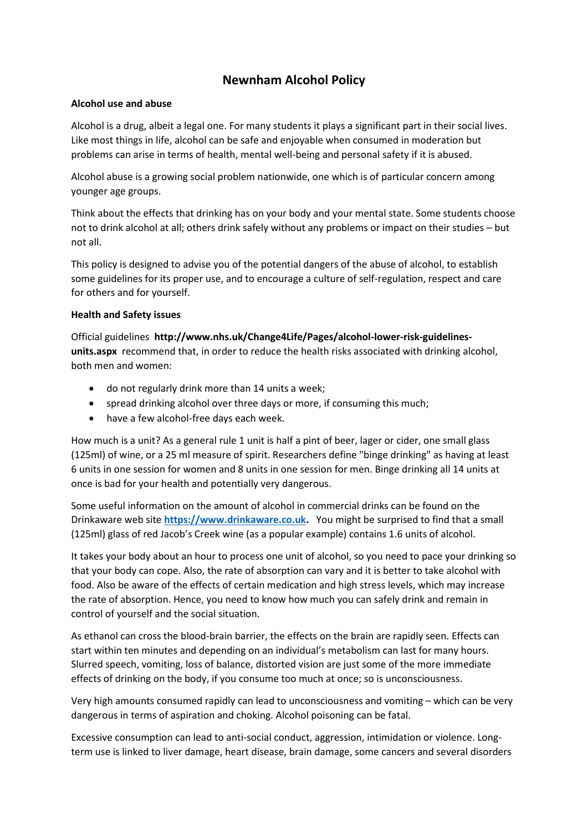# **Newnham Alcohol Policy**

#### **Alcohol use and abuse**

Alcohol is a drug, albeit a legal one. For many students it plays a significant part in their social lives. Like most things in life, alcohol can be safe and enjoyable when consumed in moderation but problems can arise in terms of health, mental well-being and personal safety if it is abused.

Alcohol abuse is a growing social problem nationwide, one which is of particular concern among younger age groups.

Think about the effects that drinking has on your body and your mental state. Some students choose not to drink alcohol at all; others drink safely without any problems or impact on their studies – but not all.

This policy is designed to advise you of the potential dangers of the abuse of alcohol, to establish some guidelines for its proper use, and to encourage a culture of self-regulation, respect and care for others and for yourself.

#### **Health and Safety issues**

Official guidelines **http://www.nhs.uk/Change4Life/Pages/alcohol-lower-risk-guidelinesunits.aspx** recommend that, in order to reduce the health risks associated with drinking alcohol, both men and women:

- do not regularly drink more than 14 units a week;
- spread drinking alcohol over three days or more, if consuming this much;
- have a few alcohol-free days each week.

How much is a unit? As a general rule 1 unit is half a pint of beer, lager or cider, one small glass (125ml) of wine, or a 25 ml measure of spirit. Researchers define "binge drinking" as having at least 6 units in one session for women and 8 units in one session for men. Binge drinking all 14 units at once is bad for your health and potentially very dangerous.

Some useful information on the amount of alcohol in commercial drinks can be found on the Drinkaware web site **[https://www.drinkaware.co.uk.](https://www.drinkaware.co.uk/)** You might be surprised to find that a small (125ml) glass of red Jacob's Creek wine (as a popular example) contains 1.6 units of alcohol.

It takes your body about an hour to process one unit of alcohol, so you need to pace your drinking so that your body can cope. Also, the rate of absorption can vary and it is better to take alcohol with food. Also be aware of the effects of certain medication and high stress levels, which may increase the rate of absorption. Hence, you need to know how much you can safely drink and remain in control of yourself and the social situation.

As ethanol can cross the blood-brain barrier, the effects on the brain are rapidly seen. Effects can start within ten minutes and depending on an individual's metabolism can last for many hours. Slurred speech, vomiting, loss of balance, distorted vision are just some of the more immediate effects of drinking on the body, if you consume too much at once; so is unconsciousness.

Very high amounts consumed rapidly can lead to unconsciousness and vomiting – which can be very dangerous in terms of aspiration and choking. Alcohol poisoning can be fatal.

Excessive consumption can lead to anti-social conduct, aggression, intimidation or violence. Longterm use is linked to liver damage, heart disease, brain damage, some cancers and several disorders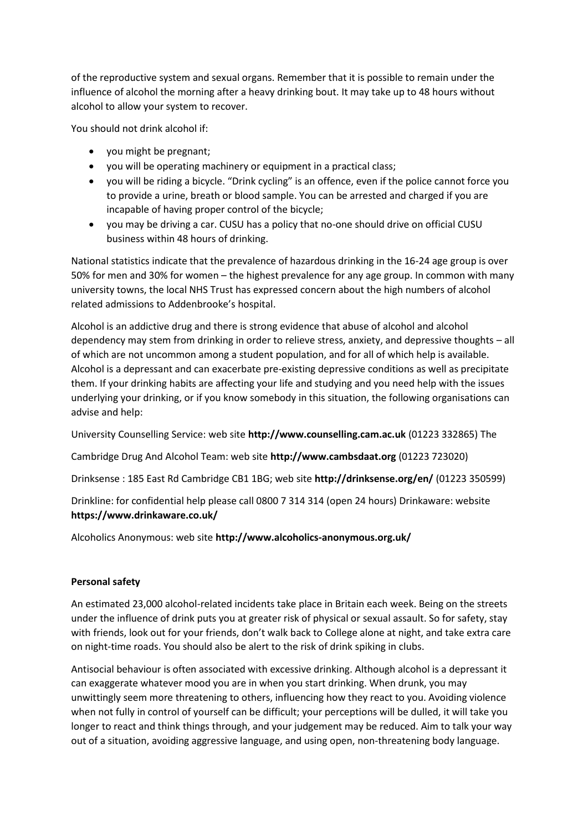of the reproductive system and sexual organs. Remember that it is possible to remain under the influence of alcohol the morning after a heavy drinking bout. It may take up to 48 hours without alcohol to allow your system to recover.

You should not drink alcohol if:

- you might be pregnant;
- you will be operating machinery or equipment in a practical class;
- you will be riding a bicycle. "Drink cycling" is an offence, even if the police cannot force you to provide a urine, breath or blood sample. You can be arrested and charged if you are incapable of having proper control of the bicycle;
- you may be driving a car. CUSU has a policy that no-one should drive on official CUSU business within 48 hours of drinking.

National statistics indicate that the prevalence of hazardous drinking in the 16-24 age group is over 50% for men and 30% for women – the highest prevalence for any age group. In common with many university towns, the local NHS Trust has expressed concern about the high numbers of alcohol related admissions to Addenbrooke's hospital.

Alcohol is an addictive drug and there is strong evidence that abuse of alcohol and alcohol dependency may stem from drinking in order to relieve stress, anxiety, and depressive thoughts – all of which are not uncommon among a student population, and for all of which help is available. Alcohol is a depressant and can exacerbate pre-existing depressive conditions as well as precipitate them. If your drinking habits are affecting your life and studying and you need help with the issues underlying your drinking, or if you know somebody in this situation, the following organisations can advise and help:

University Counselling Service: web site **http://www.counselling.cam.ac.uk** (01223 332865) The

Cambridge Drug And Alcohol Team: web site **http://www.cambsdaat.org** (01223 723020)

Drinksense : 185 East Rd Cambridge CB1 1BG; web site **http://drinksense.org/en/** (01223 350599)

Drinkline: for confidential help please call 0800 7 314 314 (open 24 hours) Drinkaware: website **https://www.drinkaware.co.uk/** 

Alcoholics Anonymous: web site **http://www.alcoholics-anonymous.org.uk/** 

## **Personal safety**

An estimated 23,000 alcohol-related incidents take place in Britain each week. Being on the streets under the influence of drink puts you at greater risk of physical or sexual assault. So for safety, stay with friends, look out for your friends, don't walk back to College alone at night, and take extra care on night-time roads. You should also be alert to the risk of drink spiking in clubs.

Antisocial behaviour is often associated with excessive drinking. Although alcohol is a depressant it can exaggerate whatever mood you are in when you start drinking. When drunk, you may unwittingly seem more threatening to others, influencing how they react to you. Avoiding violence when not fully in control of yourself can be difficult; your perceptions will be dulled, it will take you longer to react and think things through, and your judgement may be reduced. Aim to talk your way out of a situation, avoiding aggressive language, and using open, non-threatening body language.